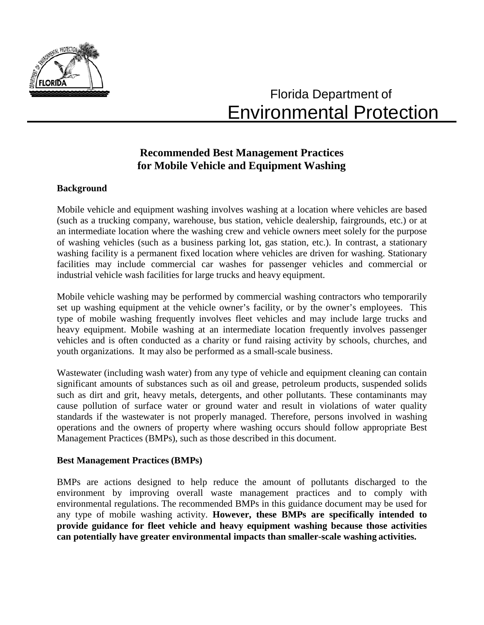

# Florida Department of Environmental Protection

# **Recommended Best Management Practices for Mobile Vehicle and Equipment Washing**

# **Background**

Mobile vehicle and equipment washing involves washing at a location where vehicles are based (such as a trucking company, warehouse, bus station, vehicle dealership, fairgrounds, etc.) or at an intermediate location where the washing crew and vehicle owners meet solely for the purpose of washing vehicles (such as a business parking lot, gas station, etc.). In contrast, a stationary washing facility is a permanent fixed location where vehicles are driven for washing. Stationary facilities may include commercial car washes for passenger vehicles and commercial or industrial vehicle wash facilities for large trucks and heavy equipment.

Mobile vehicle washing may be performed by commercial washing contractors who temporarily set up washing equipment at the vehicle owner's facility, or by the owner's employees. This type of mobile washing frequently involves fleet vehicles and may include large trucks and heavy equipment. Mobile washing at an intermediate location frequently involves passenger vehicles and is often conducted as a charity or fund raising activity by schools, churches, and youth organizations. It may also be performed as a small-scale business.

Wastewater (including wash water) from any type of vehicle and equipment cleaning can contain significant amounts of substances such as oil and grease, petroleum products, suspended solids such as dirt and grit, heavy metals, detergents, and other pollutants. These contaminants may cause pollution of surface water or ground water and result in violations of water quality standards if the wastewater is not properly managed. Therefore, persons involved in washing operations and the owners of property where washing occurs should follow appropriate Best Management Practices (BMPs), such as those described in this document.

### **Best Management Practices (BMPs)**

BMPs are actions designed to help reduce the amount of pollutants discharged to the environment by improving overall waste management practices and to comply with environmental regulations. The recommended BMPs in this guidance document may be used for any type of mobile washing activity. **However, these BMPs are specifically intended to provide guidance for fleet vehicle and heavy equipment washing because those activities can potentially have greater environmental impacts than smaller-scale washing activities.**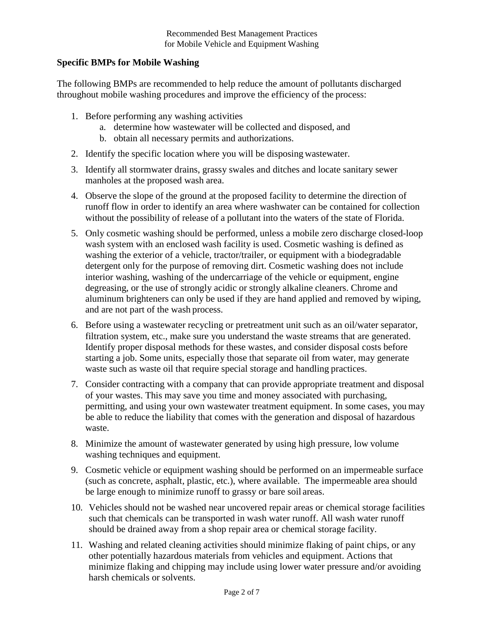# **Specific BMPs for Mobile Washing**

The following BMPs are recommended to help reduce the amount of pollutants discharged throughout mobile washing procedures and improve the efficiency of the process:

- 1. Before performing any washing activities
	- a. determine how wastewater will be collected and disposed, and
	- b. obtain all necessary permits and authorizations.
- 2. Identify the specific location where you will be disposing wastewater.
- 3. Identify all stormwater drains, grassy swales and ditches and locate sanitary sewer manholes at the proposed wash area.
- 4. Observe the slope of the ground at the proposed facility to determine the direction of runoff flow in order to identify an area where washwater can be contained for collection without the possibility of release of a pollutant into the waters of the state of Florida.
- 5. Only cosmetic washing should be performed, unless a mobile zero discharge closed-loop wash system with an enclosed wash facility is used. Cosmetic washing is defined as washing the exterior of a vehicle, tractor/trailer, or equipment with a biodegradable detergent only for the purpose of removing dirt. Cosmetic washing does not include interior washing, washing of the undercarriage of the vehicle or equipment, engine degreasing, or the use of strongly acidic or strongly alkaline cleaners. Chrome and aluminum brighteners can only be used if they are hand applied and removed by wiping, and are not part of the wash process.
- 6. Before using a wastewater recycling or pretreatment unit such as an oil/water separator, filtration system, etc., make sure you understand the waste streams that are generated. Identify proper disposal methods for these wastes, and consider disposal costs before starting a job. Some units, especially those that separate oil from water, may generate waste such as waste oil that require special storage and handling practices.
- 7. Consider contracting with a company that can provide appropriate treatment and disposal of your wastes. This may save you time and money associated with purchasing, permitting, and using your own wastewater treatment equipment. In some cases, you may be able to reduce the liability that comes with the generation and disposal of hazardous waste.
- 8. Minimize the amount of wastewater generated by using high pressure, low volume washing techniques and equipment.
- 9. Cosmetic vehicle or equipment washing should be performed on an impermeable surface (such as concrete, asphalt, plastic, etc.), where available. The impermeable area should be large enough to minimize runoff to grassy or bare soil areas.
- 10. Vehicles should not be washed near uncovered repair areas or chemical storage facilities such that chemicals can be transported in wash water runoff. All wash water runoff should be drained away from a shop repair area or chemical storage facility.
- 11. Washing and related cleaning activities should minimize flaking of paint chips, or any other potentially hazardous materials from vehicles and equipment. Actions that minimize flaking and chipping may include using lower water pressure and/or avoiding harsh chemicals or solvents.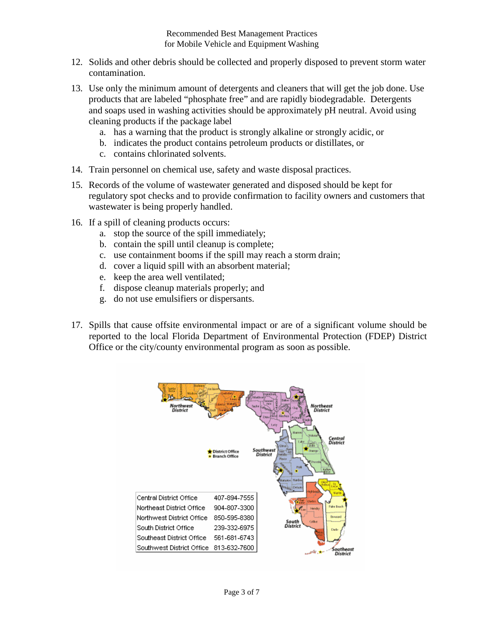- 12. Solids and other debris should be collected and properly disposed to prevent storm water contamination.
- 13. Use only the minimum amount of detergents and cleaners that will get the job done. Use products that are labeled "phosphate free" and are rapidly biodegradable. Detergents and soaps used in washing activities should be approximately pH neutral. Avoid using cleaning products if the package label
	- a. has a warning that the product is strongly alkaline or strongly acidic, or
	- b. indicates the product contains petroleum products or distillates, or
	- c. contains chlorinated solvents.
- 14. Train personnel on chemical use, safety and waste disposal practices.
- 15. Records of the volume of wastewater generated and disposed should be kept for regulatory spot checks and to provide confirmation to facility owners and customers that wastewater is being properly handled.
- 16. If a spill of cleaning products occurs:
	- a. stop the source of the spill immediately;
	- b. contain the spill until cleanup is complete;
	- c. use containment booms if the spill may reach a storm drain;
	- d. cover a liquid spill with an absorbent material;
	- e. keep the area well ventilated;
	- f. dispose cleanup materials properly; and
	- g. do not use emulsifiers or dispersants.
- 17. Spills that cause offsite environmental impact or are of a significant volume should be reported to the local Florida Department of Environmental Protection (FDEP) District Office or the city/county environmental program as soon as possible.

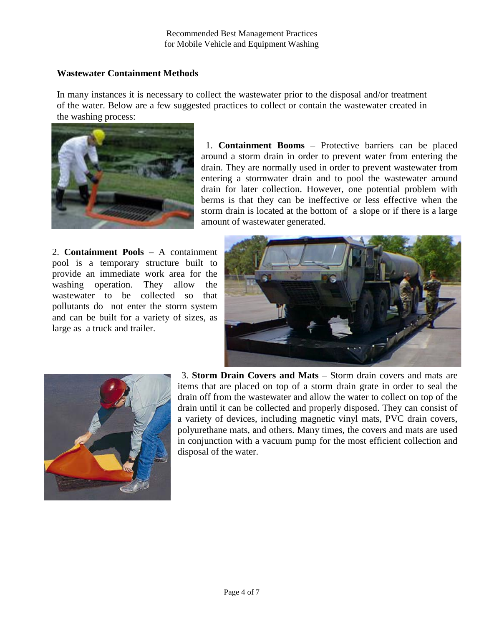## **Wastewater Containment Methods**

In many instances it is necessary to collect the wastewater prior to the disposal and/or treatment of the water. Below are a few suggested practices to collect or contain the wastewater created in the washing process:



1. **Containment Booms** – Protective barriers can be placed around a storm drain in order to prevent water from entering the drain. They are normally used in order to prevent wastewater from entering a stormwater drain and to pool the wastewater around drain for later collection. However, one potential problem with berms is that they can be ineffective or less effective when the storm drain is located at the bottom of a slope or if there is a large amount of wastewater generated.

2. **Containment Pools** – A containment pool is a temporary structure built to provide an immediate work area for the washing operation. They allow the wastewater to be collected so that pollutants do not enter the storm system and can be built for a variety of sizes, as large as a truck and trailer.





3. **Storm Drain Covers and Mats** – Storm drain covers and mats are items that are placed on top of a storm drain grate in order to seal the drain off from the wastewater and allow the water to collect on top of the drain until it can be collected and properly disposed. They can consist of a variety of devices, including magnetic vinyl mats, PVC drain covers, polyurethane mats, and others. Many times, the covers and mats are used in conjunction with a vacuum pump for the most efficient collection and disposal of the water.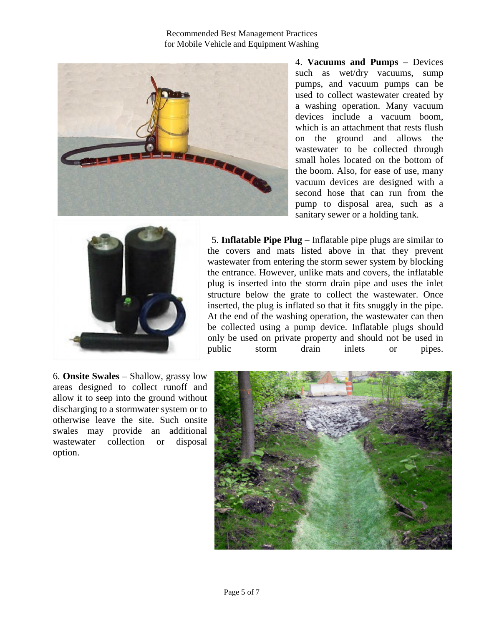Recommended Best Management Practices for Mobile Vehicle and Equipment Washing



4. **Vacuums and Pumps** – Devices such as wet/dry vacuums, sump pumps, and vacuum pumps can be used to collect wastewater created by a washing operation. Many vacuum devices include a vacuum boom, which is an attachment that rests flush on the ground and allows the wastewater to be collected through small holes located on the bottom of the boom. Also, for ease of use, many vacuum devices are designed with a second hose that can run from the pump to disposal area, such as a sanitary sewer or a holding tank.



5. **Inflatable Pipe Plug** – Inflatable pipe plugs are similar to the covers and mats listed above in that they prevent wastewater from entering the storm sewer system by blocking the entrance. However, unlike mats and covers, the inflatable plug is inserted into the storm drain pipe and uses the inlet structure below the grate to collect the wastewater. Once inserted, the plug is inflated so that it fits snuggly in the pipe. At the end of the washing operation, the wastewater can then be collected using a pump device. Inflatable plugs should only be used on private property and should not be used in public storm drain inlets or pipes.

6. **Onsite Swales** – Shallow, grassy low areas designed to collect runoff and allow it to seep into the ground without discharging to a stormwater system or to otherwise leave the site. Such onsite swales may provide an additional wastewater collection or disposal option.

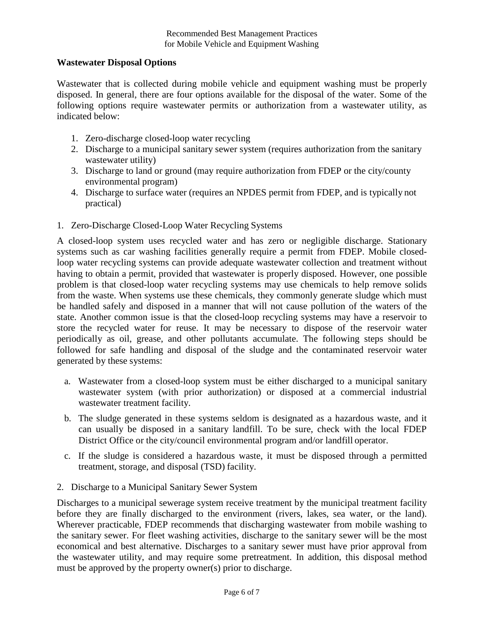#### **Wastewater Disposal Options**

Wastewater that is collected during mobile vehicle and equipment washing must be properly disposed. In general, there are four options available for the disposal of the water. Some of the following options require wastewater permits or authorization from a wastewater utility, as indicated below:

- 1. Zero-discharge closed-loop water recycling
- 2. Discharge to a municipal sanitary sewer system (requires authorization from the sanitary wastewater utility)
- 3. Discharge to land or ground (may require authorization from FDEP or the city/county environmental program)
- 4. Discharge to surface water (requires an NPDES permit from FDEP, and is typically not practical)
- 1. Zero-Discharge Closed-Loop Water Recycling Systems

A closed-loop system uses recycled water and has zero or negligible discharge. Stationary systems such as car washing facilities generally require a permit from FDEP. Mobile closedloop water recycling systems can provide adequate wastewater collection and treatment without having to obtain a permit, provided that wastewater is properly disposed. However, one possible problem is that closed-loop water recycling systems may use chemicals to help remove solids from the waste. When systems use these chemicals, they commonly generate sludge which must be handled safely and disposed in a manner that will not cause pollution of the waters of the state. Another common issue is that the closed-loop recycling systems may have a reservoir to store the recycled water for reuse. It may be necessary to dispose of the reservoir water periodically as oil, grease, and other pollutants accumulate. The following steps should be followed for safe handling and disposal of the sludge and the contaminated reservoir water generated by these systems:

- a. Wastewater from a closed-loop system must be either discharged to a municipal sanitary wastewater system (with prior authorization) or disposed at a commercial industrial wastewater treatment facility.
- b. The sludge generated in these systems seldom is designated as a hazardous waste, and it can usually be disposed in a sanitary landfill. To be sure, check with the local FDEP District Office or the city/council environmental program and/or landfill operator.
- c. If the sludge is considered a hazardous waste, it must be disposed through a permitted treatment, storage, and disposal (TSD) facility.
- 2. Discharge to a Municipal Sanitary Sewer System

Discharges to a municipal sewerage system receive treatment by the municipal treatment facility before they are finally discharged to the environment (rivers, lakes, sea water, or the land). Wherever practicable, FDEP recommends that discharging wastewater from mobile washing to the sanitary sewer. For fleet washing activities, discharge to the sanitary sewer will be the most economical and best alternative. Discharges to a sanitary sewer must have prior approval from the wastewater utility, and may require some pretreatment. In addition, this disposal method must be approved by the property owner(s) prior to discharge.